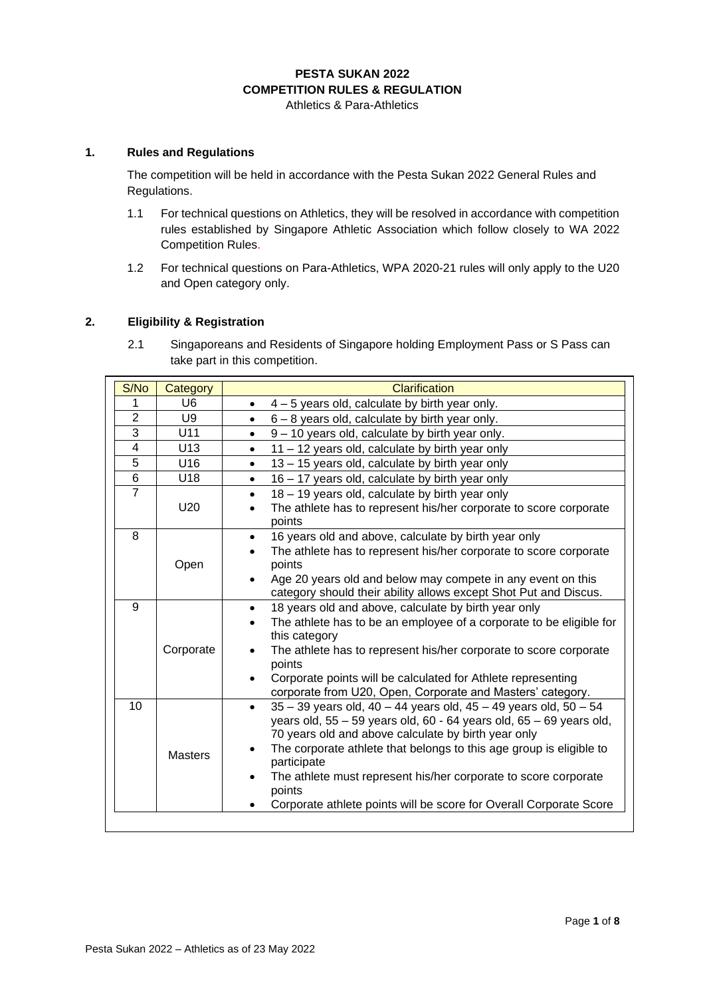# **PESTA SUKAN 2022 COMPETITION RULES & REGULATION**

Athletics & Para-Athletics

## **1. Rules and Regulations**

The competition will be held in accordance with the Pesta Sukan 2022 General Rules and Regulations.

- 1.1 For technical questions on Athletics, they will be resolved in accordance with competition rules established by Singapore Athletic Association which follow closely to WA 2022 Competition Rules.
- 1.2 For technical questions on Para-Athletics, WPA 2020-21 rules will only apply to the U20 and Open category only.

### **2. Eligibility & Registration**

2.1 Singaporeans and Residents of Singapore holding Employment Pass or S Pass can take part in this competition.

| S/No           | Category        | <b>Clarification</b>                                                                                                                                                                                                                                                                                                                                                                                                                                                            |  |
|----------------|-----------------|---------------------------------------------------------------------------------------------------------------------------------------------------------------------------------------------------------------------------------------------------------------------------------------------------------------------------------------------------------------------------------------------------------------------------------------------------------------------------------|--|
| 1              | U <sub>6</sub>  | $4 - 5$ years old, calculate by birth year only.<br>$\bullet$                                                                                                                                                                                                                                                                                                                                                                                                                   |  |
| $\overline{2}$ | U <sub>9</sub>  | $6 - 8$ years old, calculate by birth year only.<br>$\bullet$                                                                                                                                                                                                                                                                                                                                                                                                                   |  |
| 3              | U11             | 9 - 10 years old, calculate by birth year only.<br>$\bullet$                                                                                                                                                                                                                                                                                                                                                                                                                    |  |
| 4              | U13             | 11 - 12 years old, calculate by birth year only<br>$\bullet$                                                                                                                                                                                                                                                                                                                                                                                                                    |  |
| 5              | U <sub>16</sub> | 13 - 15 years old, calculate by birth year only<br>$\bullet$                                                                                                                                                                                                                                                                                                                                                                                                                    |  |
| 6              | U18             | 16 - 17 years old, calculate by birth year only<br>$\bullet$                                                                                                                                                                                                                                                                                                                                                                                                                    |  |
| $\overline{7}$ | U <sub>20</sub> | 18 - 19 years old, calculate by birth year only<br>$\bullet$<br>The athlete has to represent his/her corporate to score corporate<br>$\bullet$<br>points                                                                                                                                                                                                                                                                                                                        |  |
| 8              | Open            | 16 years old and above, calculate by birth year only<br>$\bullet$<br>The athlete has to represent his/her corporate to score corporate<br>points<br>Age 20 years old and below may compete in any event on this<br>$\bullet$<br>category should their ability allows except Shot Put and Discus.                                                                                                                                                                                |  |
| 9              | Corporate       | 18 years old and above, calculate by birth year only<br>$\bullet$<br>The athlete has to be an employee of a corporate to be eligible for<br>this category<br>The athlete has to represent his/her corporate to score corporate<br>points<br>Corporate points will be calculated for Athlete representing<br>$\bullet$<br>corporate from U20, Open, Corporate and Masters' category.                                                                                             |  |
| 10             | <b>Masters</b>  | $35 - 39$ years old, $40 - 44$ years old, $45 - 49$ years old, $50 - 54$<br>$\bullet$<br>years old, $55 - 59$ years old, $60 - 64$ years old, $65 - 69$ years old,<br>70 years old and above calculate by birth year only<br>The corporate athlete that belongs to this age group is eligible to<br>$\bullet$<br>participate<br>The athlete must represent his/her corporate to score corporate<br>points<br>Corporate athlete points will be score for Overall Corporate Score |  |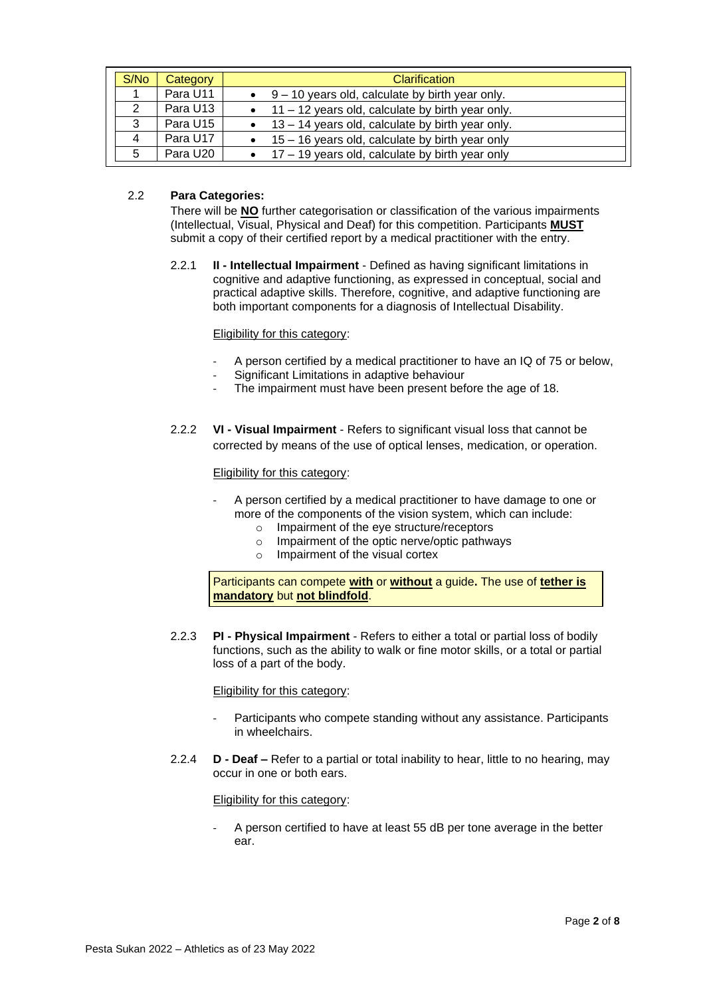| S/N <sub>o</sub> | Category | <b>Clarification</b>                                       |
|------------------|----------|------------------------------------------------------------|
|                  | Para U11 | $\bullet$ 9 – 10 years old, calculate by birth year only.  |
| 2                | Para U13 | $\bullet$ 11 – 12 years old, calculate by birth year only. |
| 3                | Para U15 | $\bullet$ 13 – 14 years old, calculate by birth year only. |
| -4               | Para U17 | $\bullet$ 15 – 16 years old, calculate by birth year only  |
| -5               | Para U20 | $\bullet$ 17 – 19 years old, calculate by birth year only  |

### 2.2 **Para Categories:**

There will be **NO** further categorisation or classification of the various impairments (Intellectual, Visual, Physical and Deaf) for this competition. Participants **MUST** submit a copy of their certified report by a medical practitioner with the entry.

2.2.1 **II - Intellectual Impairment** - Defined as having significant limitations in cognitive and adaptive functioning, as expressed in conceptual, social and practical adaptive skills. Therefore, cognitive, and adaptive functioning are both important components for a diagnosis of Intellectual Disability.

### Eligibility for this category:

- A person certified by a medical practitioner to have an IQ of 75 or below,
- Significant Limitations in adaptive behaviour
- The impairment must have been present before the age of 18.
- 2.2.2 **VI - Visual Impairment** Refers to significant visual loss that cannot be corrected by means of the use of optical lenses, medication, or operation.

### Eligibility for this category:

- A person certified by a medical practitioner to have damage to one or more of the components of the vision system, which can include:
	- o Impairment of the eye structure/receptors
	- o Impairment of the optic nerve/optic pathways
	- o Impairment of the visual cortex

Participants can compete **with** or **without** a guide**.** The use of **tether is mandatory** but **not blindfold**.

2.2.3 **PI - Physical Impairment** - Refers to either a total or partial loss of bodily functions, such as the ability to walk or fine motor skills, or a total or partial loss of a part of the body.

Eligibility for this category:

- Participants who compete standing without any assistance. Participants in wheelchairs.
- 2.2.4 **D - Deaf –** Refer to a partial or total inability to hear, little to no hearing, may occur in one or both ears.

Eligibility for this category:

A person certified to have at least 55 dB per tone average in the better ear.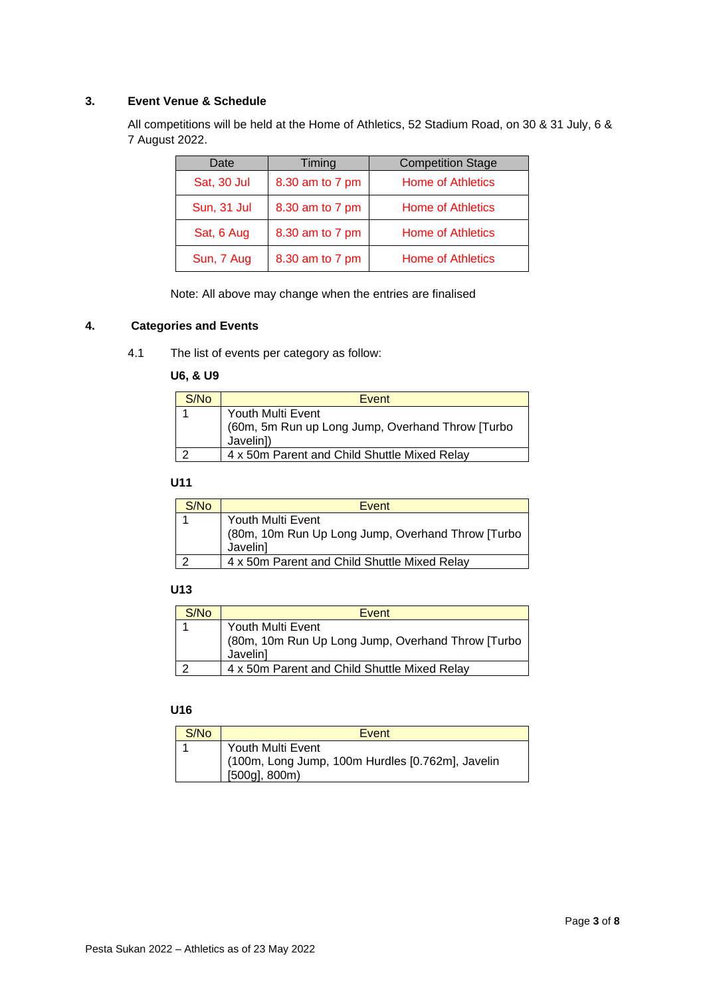## **3. Event Venue & Schedule**

All competitions will be held at the Home of Athletics, 52 Stadium Road, on 30 & 31 July, 6 & 7 August 2022.

| Date        | Timing          | <b>Competition Stage</b> |
|-------------|-----------------|--------------------------|
| Sat, 30 Jul | 8.30 am to 7 pm | <b>Home of Athletics</b> |
| Sun, 31 Jul | 8.30 am to 7 pm | <b>Home of Athletics</b> |
| Sat, 6 Aug  | 8.30 am to 7 pm | <b>Home of Athletics</b> |
| Sun, 7 Aug  | 8.30 am to 7 pm | <b>Home of Athletics</b> |

Note: All above may change when the entries are finalised

## **4. Categories and Events**

4.1 The list of events per category as follow:

### **U6, & U9**

| S/N <sub>0</sub> | Event                                                                              |
|------------------|------------------------------------------------------------------------------------|
|                  | Youth Multi Event<br>(60m, 5m Run up Long Jump, Overhand Throw [Turbo<br>Javelin]) |
|                  | 4 x 50m Parent and Child Shuttle Mixed Relay                                       |

## **U11**

| S/N <sub>0</sub> | Event                                             |  |
|------------------|---------------------------------------------------|--|
|                  | Youth Multi Event                                 |  |
|                  | (80m, 10m Run Up Long Jump, Overhand Throw [Turbo |  |
|                  | Javelin]                                          |  |
|                  | 4 x 50m Parent and Child Shuttle Mixed Relay      |  |

## **U13**

| S/N <sub>0</sub> | Event                                                                              |
|------------------|------------------------------------------------------------------------------------|
|                  | Youth Multi Event<br>(80m, 10m Run Up Long Jump, Overhand Throw [Turbo<br>Javelin] |
|                  | 4 x 50m Parent and Child Shuttle Mixed Relay                                       |

## **U16**

| S/No | Event                                                                                     |
|------|-------------------------------------------------------------------------------------------|
|      | Youth Multi Event<br>(100m, Long Jump, 100m Hurdles [0.762m], Javelin<br>$[500g]$ , 800m) |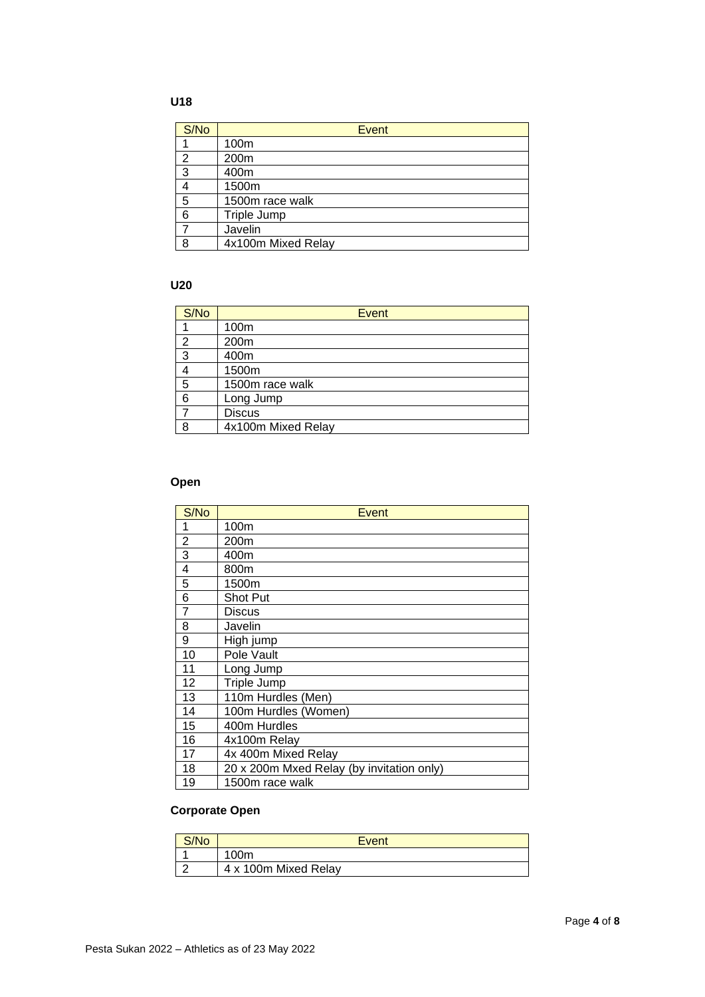## **U18**

| S/No | <b>Event</b>       |
|------|--------------------|
|      | 100m               |
| 2    | 200m               |
| 3    | 400m               |
|      | 1500m              |
| 5    | 1500m race walk    |
| 6    | Triple Jump        |
|      | Javelin            |
| 8    | 4x100m Mixed Relay |

## **U20**

| S/No           | Event              |
|----------------|--------------------|
|                | 100m               |
| $\overline{2}$ | 200m               |
| 3              | 400m               |
|                | 1500m              |
| 5              | 1500m race walk    |
| 6              | Long Jump          |
|                | <b>Discus</b>      |
| 8              | 4x100m Mixed Relay |

## **Open**

| S/No           | Event                                     |
|----------------|-------------------------------------------|
| 1              | 100m                                      |
| 2              | 200m                                      |
| 3              | 400m                                      |
| 4              | 800m                                      |
| 5              | 1500m                                     |
| 6              | Shot Put                                  |
| $\overline{7}$ | <b>Discus</b>                             |
| 8              | Javelin                                   |
| 9              | High jump                                 |
| 10             | Pole Vault                                |
| 11             | Long Jump                                 |
| 12             | Triple Jump                               |
| 13             | 110m Hurdles (Men)                        |
| 14             | 100m Hurdles (Women)                      |
| 15             | 400m Hurdles                              |
| 16             | 4x100m Relay                              |
| 17             | 4x 400m Mixed Relay                       |
| 18             | 20 x 200m Mxed Relay (by invitation only) |
| 19             | 1500m race walk                           |

## **Corporate Open**

| S/No | Event                |
|------|----------------------|
|      | 100 <sub>m</sub>     |
|      | 4 x 100m Mixed Relay |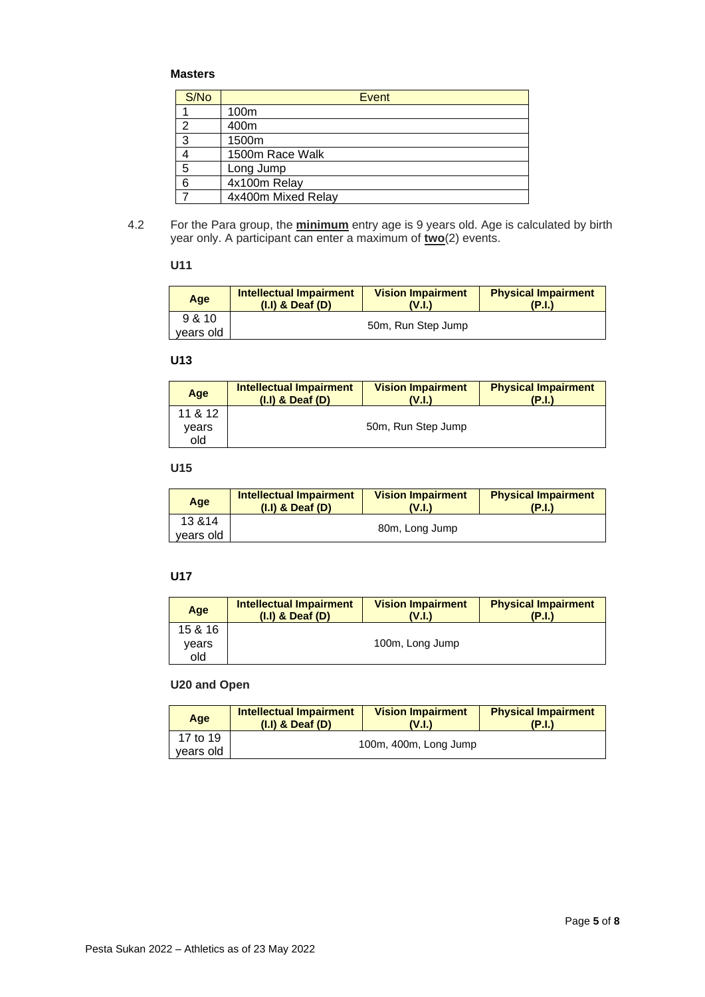## **Masters**

| S/No | Event              |
|------|--------------------|
|      | 100m               |
| 2    | 400m               |
| 3    | 1500m              |
|      | 1500m Race Walk    |
| 5    | Long Jump          |
| 6    | 4x100m Relay       |
|      | 4x400m Mixed Relay |

4.2 For the Para group, the **minimum** entry age is 9 years old. Age is calculated by birth year only. A participant can enter a maximum of **two**(2) events.

## **U11**

| Age       | <b>Intellectual Impairment</b><br>$(I.I)$ & Deaf $(D)$ | <b>Vision Impairment</b><br>(V.I.) | <b>Physical Impairment</b><br>(P.I.) |
|-----------|--------------------------------------------------------|------------------------------------|--------------------------------------|
| 9 & 10    |                                                        | 50m, Run Step Jump                 |                                      |
| years old |                                                        |                                    |                                      |

### **U13**

| Age     | Intellectual Impairment<br>$(I.I)$ & Deaf $(D)$ | <b>Vision Impairment</b><br>(V.I.) | <b>Physical Impairment</b><br>(P.I.) |
|---------|-------------------------------------------------|------------------------------------|--------------------------------------|
| 11 & 12 |                                                 |                                    |                                      |
| vears   |                                                 | 50m, Run Step Jump                 |                                      |
| old     |                                                 |                                    |                                      |

## **U15**

| Age                  | Intellectual Impairment | <b>Vision Impairment</b> | <b>Physical Impairment</b> |
|----------------------|-------------------------|--------------------------|----------------------------|
|                      | $(I,I)$ & Deaf $(D)$    | V.I.                     | (P.I.)                     |
| 13 & 14<br>vears old | 80m, Long Jump          |                          |                            |

## **U17**

| Age     | Intellectual Impairment<br>$(I.I)$ & Deaf $(D)$ | <b>Vision Impairment</b><br>(V.I.) | <b>Physical Impairment</b><br>(P.I.) |
|---------|-------------------------------------------------|------------------------------------|--------------------------------------|
| 15 & 16 |                                                 |                                    |                                      |
| vears   |                                                 | 100m, Long Jump                    |                                      |
| old     |                                                 |                                    |                                      |

## **U20 and Open**

| Age       | <b>Intellectual Impairment</b><br>$(I.I)$ & Deaf $(D)$ | <b>Vision Impairment</b><br>V.L | <b>Physical Impairment</b><br>(P.I.) |
|-----------|--------------------------------------------------------|---------------------------------|--------------------------------------|
| 17 to 19  | 100m, 400m, Long Jump                                  |                                 |                                      |
| years old |                                                        |                                 |                                      |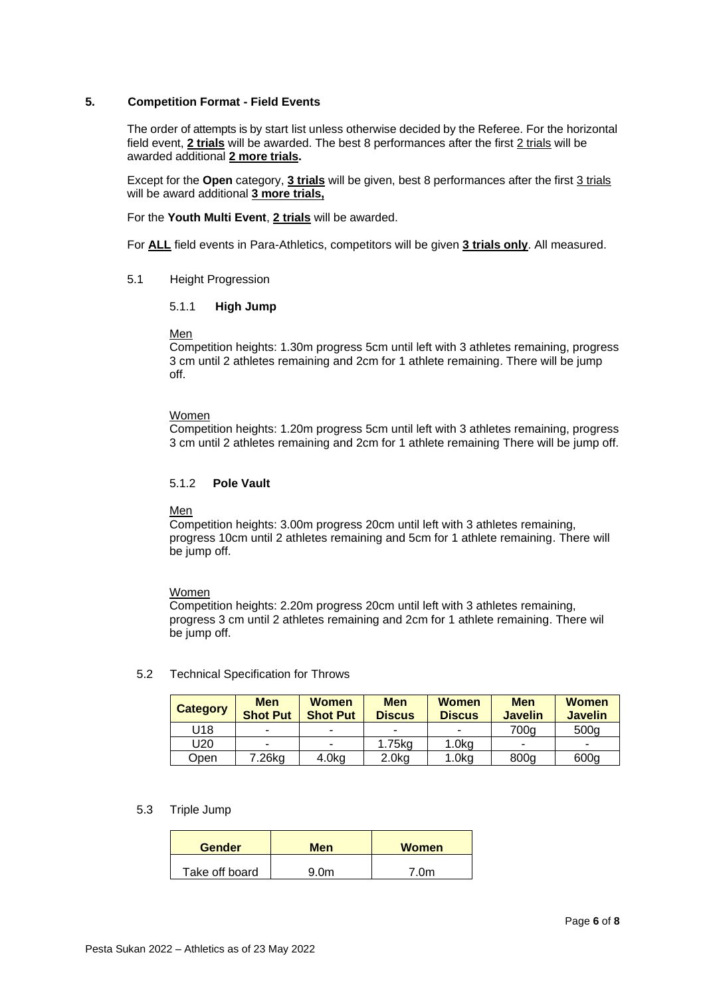### **5. Competition Format - Field Events**

The order of attempts is by start list unless otherwise decided by the Referee. For the horizontal field event, **2 trials** will be awarded. The best 8 performances after the first 2 trials will be awarded additional **2 more trials.**

Except for the **Open** category, **3 trials** will be given, best 8 performances after the first 3 trials will be award additional **3 more trials,**

For the **Youth Multi Event**, **2 trials** will be awarded.

For **ALL** field events in Para-Athletics, competitors will be given **3 trials only**. All measured.

### 5.1 Height Progression

### 5.1.1 **High Jump**

### Men

Competition heights: 1.30m progress 5cm until left with 3 athletes remaining, progress 3 cm until 2 athletes remaining and 2cm for 1 athlete remaining. There will be jump off.

### Women

Competition heights: 1.20m progress 5cm until left with 3 athletes remaining, progress 3 cm until 2 athletes remaining and 2cm for 1 athlete remaining There will be jump off.

### 5.1.2 **Pole Vault**

### Men

Competition heights: 3.00m progress 20cm until left with 3 athletes remaining, progress 10cm until 2 athletes remaining and 5cm for 1 athlete remaining. There will be jump off.

### Women

Competition heights: 2.20m progress 20cm until left with 3 athletes remaining, progress 3 cm until 2 athletes remaining and 2cm for 1 athlete remaining. There wil be jump off.

### 5.2 Technical Specification for Throws

| <b>Category</b> | <b>Men</b><br><b>Shot Put</b> | <b>Women</b><br><b>Shot Put</b> | <b>Men</b><br><b>Discus</b> | <b>Women</b><br><b>Discus</b> | <b>Men</b><br><b>Javelin</b> | <b>Women</b><br><b>Javelin</b> |
|-----------------|-------------------------------|---------------------------------|-----------------------------|-------------------------------|------------------------------|--------------------------------|
| J18             |                               | -                               |                             | ۰                             | 700g                         | 500 <sub>g</sub>               |
| U20             | $\overline{\phantom{0}}$      | -                               | 1.75kg                      | $1.0k$ g                      | -                            |                                |
| Open            | 7.26kg                        | 4.0kg                           | $2.0k$ g                    | 1.0 <sub>kq</sub>             | 800 <sub>q</sub>             | 600g                           |

### 5.3 Triple Jump

| <b>Gender</b>  | Men  | <b>Women</b> |
|----------------|------|--------------|
| Take off board | 9 Nm | 7 Nm         |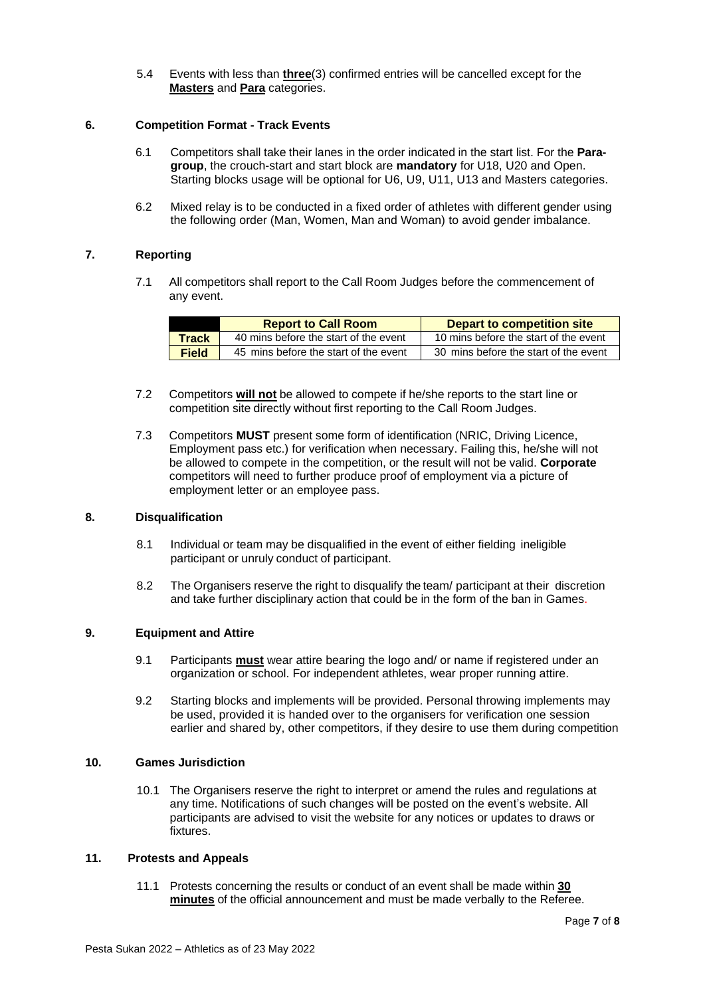5.4 Events with less than **three**(3) confirmed entries will be cancelled except for the **Masters** and **Para** categories.

### **6. Competition Format - Track Events**

- 6.1 Competitors shall take their lanes in the order indicated in the start list. For the **Paragroup**, the crouch-start and start block are **mandatory** for U18, U20 and Open. Starting blocks usage will be optional for U6, U9, U11, U13 and Masters categories.
- 6.2 Mixed relay is to be conducted in a fixed order of athletes with different gender using the following order (Man, Women, Man and Woman) to avoid gender imbalance.

### **7. Reporting**

7.1 All competitors shall report to the Call Room Judges before the commencement of any event.

|              | <b>Report to Call Room</b>            | <b>Depart to competition site</b>     |
|--------------|---------------------------------------|---------------------------------------|
| <b>Track</b> | 40 mins before the start of the event | 10 mins before the start of the event |
| <b>Field</b> | 45 mins before the start of the event | 30 mins before the start of the event |

- 7.2 Competitors **will not** be allowed to compete if he/she reports to the start line or competition site directly without first reporting to the Call Room Judges.
- 7.3 Competitors **MUST** present some form of identification (NRIC, Driving Licence, Employment pass etc.) for verification when necessary. Failing this, he/she will not be allowed to compete in the competition, or the result will not be valid. **Corporate** competitors will need to further produce proof of employment via a picture of employment letter or an employee pass.

### **8. Disqualification**

- 8.1 Individual or team may be disqualified in the event of either fielding ineligible participant or unruly conduct of participant.
- 8.2 The Organisers reserve the right to disqualify the team/ participant at their discretion and take further disciplinary action that could be in the form of the ban in Games.

### **9. Equipment and Attire**

- 9.1 Participants **must** wear attire bearing the logo and/ or name if registered under an organization or school. For independent athletes, wear proper running attire.
- 9.2 Starting blocks and implements will be provided. Personal throwing implements may be used, provided it is handed over to the organisers for verification one session earlier and shared by, other competitors, if they desire to use them during competition

### **10. Games Jurisdiction**

10.1 The Organisers reserve the right to interpret or amend the rules and regulations at any time. Notifications of such changes will be posted on the event's website. All participants are advised to visit the website for any notices or updates to draws or fixtures.

### **11. Protests and Appeals**

11.1 Protests concerning the results or conduct of an event shall be made within **30 minutes** of the official announcement and must be made verbally to the Referee.